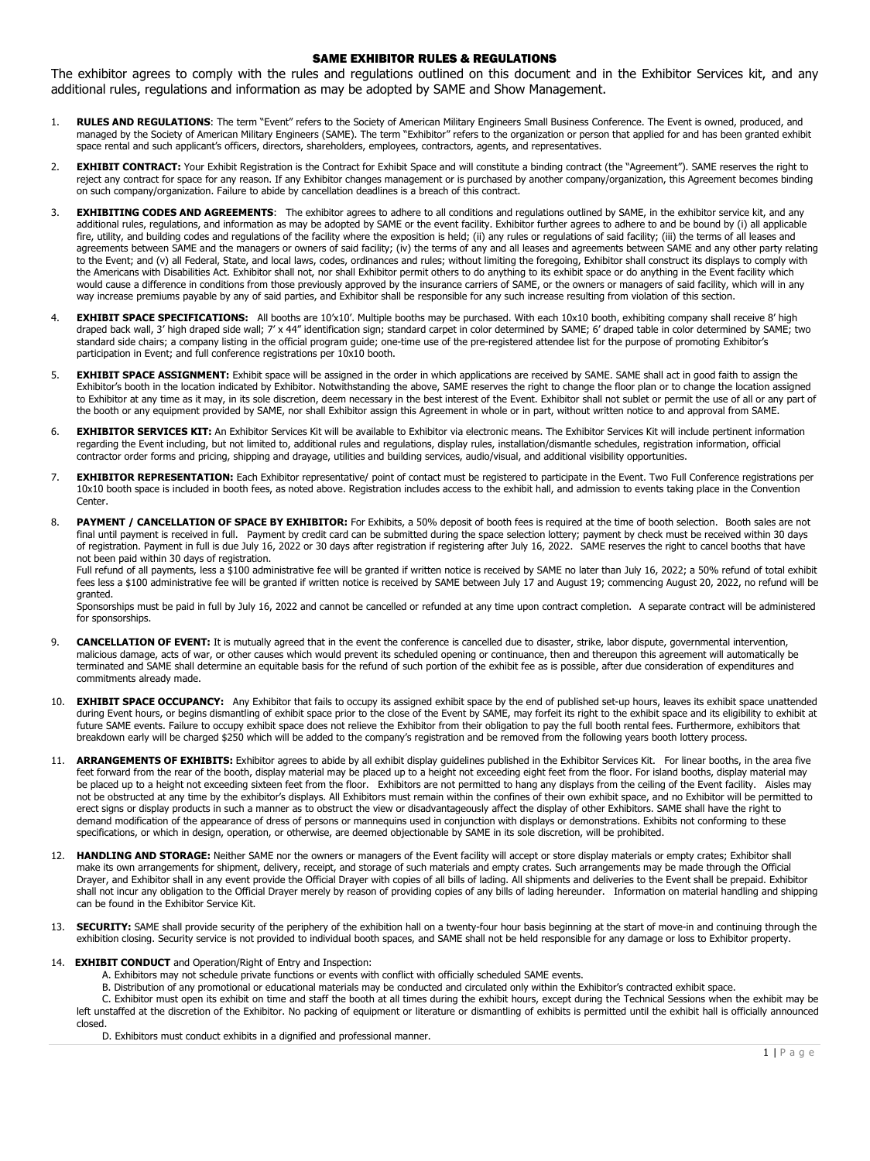## SAME EXHIBITOR RULES & REGULATIONS

The exhibitor agrees to comply with the rules and regulations outlined on this document and in the Exhibitor Services kit, and any additional rules, regulations and information as may be adopted by SAME and Show Management.

- 1. **RULES AND REGULATIONS**: The term "Event" refers to the Society of American Military Engineers Small Business Conference. The Event is owned, produced, and managed by the Society of American Military Engineers (SAME). The term "Exhibitor" refers to the organization or person that applied for and has been granted exhibit space rental and such applicant's officers, directors, shareholders, employees, contractors, agents, and representatives.
- 2. **EXHIBIT CONTRACT:** Your Exhibit Registration is the Contract for Exhibit Space and will constitute a binding contract (the "Agreement"). SAME reserves the right to reject any contract for space for any reason. If any Exhibitor changes management or is purchased by another company/organization, this Agreement becomes binding on such company/organization. Failure to abide by cancellation deadlines is a breach of this contract.
- 3. **EXHIBITING CODES AND AGREEMENTS**: The exhibitor agrees to adhere to all conditions and regulations outlined by SAME, in the exhibitor service kit, and any additional rules, regulations, and information as may be adopted by SAME or the event facility. Exhibitor further agrees to adhere to and be bound by (i) all applicable fire, utility, and building codes and regulations of the facility where the exposition is held; (ii) any rules or regulations of said facility; (iii) the terms of all leases and agreements between SAME and the managers or owners of said facility; (iv) the terms of any and all leases and agreements between SAME and any other party relating to the Event; and (v) all Federal, State, and local laws, codes, ordinances and rules; without limiting the foregoing, Exhibitor shall construct its displays to comply with the Americans with Disabilities Act. Exhibitor shall not, nor shall Exhibitor permit others to do anything to its exhibit space or do anything in the Event facility which would cause a difference in conditions from those previously approved by the insurance carriers of SAME, or the owners or managers of said facility, which will in any way increase premiums payable by any of said parties, and Exhibitor shall be responsible for any such increase resulting from violation of this section.
- 4. **EXHIBIT SPACE SPECIFICATIONS:** All booths are 10'x10'. Multiple booths may be purchased. With each 10x10 booth, exhibiting company shall receive 8' high draped back wall, 3' high draped side wall; 7' x 44" identification sign; standard carpet in color determined by SAME; 6' draped table in color determined by SAME; two standard side chairs; a company listing in the official program guide; one-time use of the pre-registered attendee list for the purpose of promoting Exhibitor's participation in Event; and full conference registrations per 10x10 booth.
- 5. **EXHIBIT SPACE ASSIGNMENT:** Exhibit space will be assigned in the order in which applications are received by SAME. SAME shall act in good faith to assign the Exhibitor's booth in the location indicated by Exhibitor. Notwithstanding the above, SAME reserves the right to change the floor plan or to change the location assigned to Exhibitor at any time as it may, in its sole discretion, deem necessary in the best interest of the Event. Exhibitor shall not sublet or permit the use of all or any part of the booth or any equipment provided by SAME, nor shall Exhibitor assign this Agreement in whole or in part, without written notice to and approval from SAME.
- 6. **EXHIBITOR SERVICES KIT:** An Exhibitor Services Kit will be available to Exhibitor via electronic means. The Exhibitor Services Kit will include pertinent information regarding the Event including, but not limited to, additional rules and regulations, display rules, installation/dismantle schedules, registration information, official contractor order forms and pricing, shipping and drayage, utilities and building services, audio/visual, and additional visibility opportunities.
- 7. **EXHIBITOR REPRESENTATION:** Each Exhibitor representative/ point of contact must be registered to participate in the Event. Two Full Conference registrations per 10x10 booth space is included in booth fees, as noted above. Registration includes access to the exhibit hall, and admission to events taking place in the Convention Center.
- 8. **PAYMENT / CANCELLATION OF SPACE BY EXHIBITOR:** For Exhibits, a 50% deposit of booth fees is required at the time of booth selection. Booth sales are not final until payment is received in full. Payment by credit card can be submitted during the space selection lottery; payment by check must be received within 30 days of registration. Payment in full is due July 16, 2022 or 30 days after registration if registering after July 16, 2022. SAME reserves the right to cancel booths that have not been paid within 30 days of registration.

Full refund of all payments, less a \$100 administrative fee will be granted if written notice is received by SAME no later than July 16, 2022; a 50% refund of total exhibit fees less a \$100 administrative fee will be granted if written notice is received by SAME between July 17 and August 19; commencing August 20, 2022, no refund will be granted.

Sponsorships must be paid in full by July 16, 2022 and cannot be cancelled or refunded at any time upon contract completion. A separate contract will be administered for sponsorships.

- 9. **CANCELLATION OF EVENT:** It is mutually agreed that in the event the conference is cancelled due to disaster, strike, labor dispute, governmental intervention, malicious damage, acts of war, or other causes which would prevent its scheduled opening or continuance, then and thereupon this agreement will automatically be terminated and SAME shall determine an equitable basis for the refund of such portion of the exhibit fee as is possible, after due consideration of expenditures and commitments already made.
- 10. **EXHIBIT SPACE OCCUPANCY:** Any Exhibitor that fails to occupy its assigned exhibit space by the end of published set-up hours, leaves its exhibit space unattended during Event hours, or begins dismantling of exhibit space prior to the close of the Event by SAME, may forfeit its right to the exhibit space and its eligibility to exhibit at future SAME events. Failure to occupy exhibit space does not relieve the Exhibitor from their obligation to pay the full booth rental fees. Furthermore, exhibitors that breakdown early will be charged \$250 which will be added to the company's registration and be removed from the following years booth lottery process.
- 11. **ARRANGEMENTS OF EXHIBITS:** Exhibitor agrees to abide by all exhibit display guidelines published in the Exhibitor Services Kit. For linear booths, in the area five feet forward from the rear of the booth, display material may be placed up to a height not exceeding eight feet from the floor. For island booths, display material may be placed up to a height not exceeding sixteen feet from the floor. Exhibitors are not permitted to hang any displays from the ceiling of the Event facility. Aisles may not be obstructed at any time by the exhibitor's displays. All Exhibitors must remain within the confines of their own exhibit space, and no Exhibitor will be permitted to erect signs or display products in such a manner as to obstruct the view or disadvantageously affect the display of other Exhibitors. SAME shall have the right to demand modification of the appearance of dress of persons or mannequins used in conjunction with displays or demonstrations. Exhibits not conforming to these specifications, or which in design, operation, or otherwise, are deemed objectionable by SAME in its sole discretion, will be prohibited.
- 12. **HANDLING AND STORAGE:** Neither SAME nor the owners or managers of the Event facility will accept or store display materials or empty crates; Exhibitor shall make its own arrangements for shipment, delivery, receipt, and storage of such materials and empty crates. Such arrangements may be made through the Official Drayer, and Exhibitor shall in any event provide the Official Drayer with copies of all bills of lading. All shipments and deliveries to the Event shall be prepaid. Exhibitor shall not incur any obligation to the Official Drayer merely by reason of providing copies of any bills of lading hereunder. Information on material handling and shipping can be found in the Exhibitor Service Kit.
- 13. **SECURITY:** SAME shall provide security of the periphery of the exhibition hall on a twenty-four hour basis beginning at the start of move-in and continuing through the exhibition closing. Security service is not provided to individual booth spaces, and SAME shall not be held responsible for any damage or loss to Exhibitor property.

## 14. **EXHIBIT CONDUCT** and Operation/Right of Entry and Inspection:

- A. Exhibitors may not schedule private functions or events with conflict with officially scheduled SAME events.
- B. Distribution of any promotional or educational materials may be conducted and circulated only within the Exhibitor's contracted exhibit space.

C. Exhibitor must open its exhibit on time and staff the booth at all times during the exhibit hours, except during the Technical Sessions when the exhibit may be left unstaffed at the discretion of the Exhibitor. No packing of equipment or literature or dismantling of exhibits is permitted until the exhibit hall is officially announced closed.

D. Exhibitors must conduct exhibits in a dignified and professional manner.